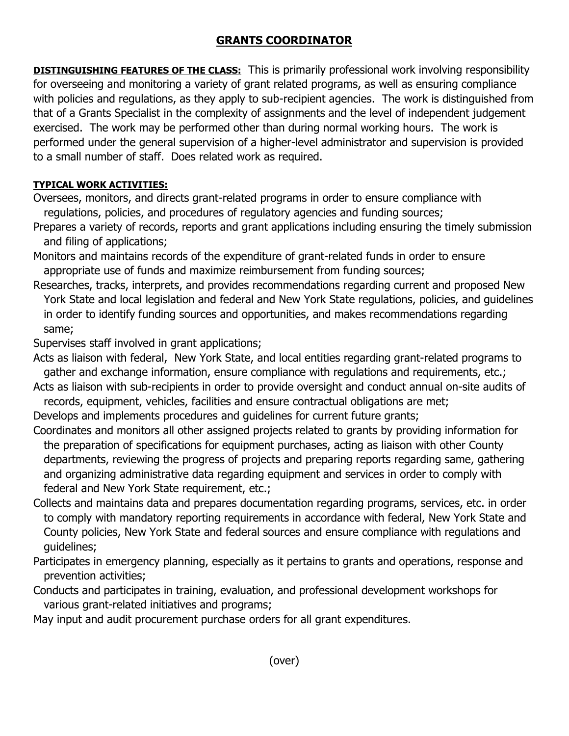## **GRANTS COORDINATOR**

**DISTINGUISHING FEATURES OF THE CLASS:** This is primarily professional work involving responsibility for overseeing and monitoring a variety of grant related programs, as well as ensuring compliance with policies and regulations, as they apply to sub-recipient agencies. The work is distinguished from that of a Grants Specialist in the complexity of assignments and the level of independent judgement exercised. The work may be performed other than during normal working hours. The work is performed under the general supervision of a higher-level administrator and supervision is provided to a small number of staff. Does related work as required.

## **TYPICAL WORK ACTIVITIES:**

Oversees, monitors, and directs grant-related programs in order to ensure compliance with regulations, policies, and procedures of regulatory agencies and funding sources;

Prepares a variety of records, reports and grant applications including ensuring the timely submission and filing of applications;

Monitors and maintains records of the expenditure of grant-related funds in order to ensure appropriate use of funds and maximize reimbursement from funding sources;

Researches, tracks, interprets, and provides recommendations regarding current and proposed New York State and local legislation and federal and New York State regulations, policies, and guidelines in order to identify funding sources and opportunities, and makes recommendations regarding same;

Supervises staff involved in grant applications;

Acts as liaison with federal, New York State, and local entities regarding grant-related programs to gather and exchange information, ensure compliance with regulations and requirements, etc.;

Acts as liaison with sub-recipients in order to provide oversight and conduct annual on-site audits of records, equipment, vehicles, facilities and ensure contractual obligations are met;

Develops and implements procedures and guidelines for current future grants;

- Coordinates and monitors all other assigned projects related to grants by providing information for the preparation of specifications for equipment purchases, acting as liaison with other County departments, reviewing the progress of projects and preparing reports regarding same, gathering and organizing administrative data regarding equipment and services in order to comply with federal and New York State requirement, etc.;
- Collects and maintains data and prepares documentation regarding programs, services, etc. in order to comply with mandatory reporting requirements in accordance with federal, New York State and County policies, New York State and federal sources and ensure compliance with regulations and guidelines;
- Participates in emergency planning, especially as it pertains to grants and operations, response and prevention activities;
- Conducts and participates in training, evaluation, and professional development workshops for various grant-related initiatives and programs;

May input and audit procurement purchase orders for all grant expenditures.